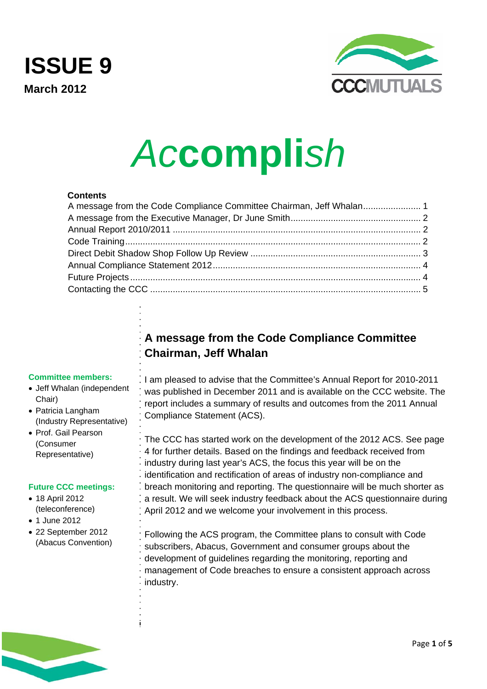<span id="page-0-0"></span>**ISSUE 9 March 2012** 



# *Ac***compli***sh*

#### **Contents**

# **A message from the Code Compliance Committee Chairman, Jeff Whalan**

#### **Committee members:**

- Jeff Whalan (independent Chair)
- Patricia Langham (Industry Representative)
- Prof. Gail Pearson (Consumer Representative)

#### **Future CCC meetings:**

- 18 April 2012 (teleconference)
- 1 June 2012
- 22 September 2012 (Abacus Convention)

I am pleased to advise that the Committee's Annual Report for 2010-2011 was published in December 2011 and is available on the CCC website. The report includes a summary of results and outcomes from the 2011 Annual Compliance Statement (ACS).

The CCC has started work on the development of the 2012 ACS. See page 4 for further details. Based on the findings and feedback received from industry during last year's ACS, the focus this year will be on the identification and rectification of areas of industry non-compliance and breach monitoring and reporting. The questionnaire will be much shorter as a result. We will seek industry feedback about the ACS questionnaire during April 2012 and we welcome your involvement in this process.

Following the ACS program, the Committee plans to consult with Code subscribers, Abacus, Government and consumer groups about the development of guidelines regarding the monitoring, reporting and management of Code breaches to ensure a consistent approach across industry.

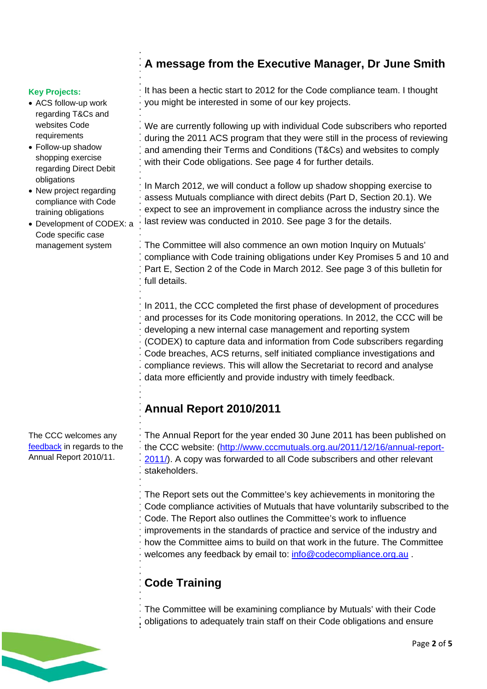#### <span id="page-1-0"></span>**Key Projects:**

- ACS follow-up work regarding T&Cs and websites Code requirements
- Follow-up shadow shopping exercise regarding Direct Debit obligations
- New project regarding compliance with Code training obligations
- Development of CODEX: a Code specific case management system

The CCC welcomes any [feedback](mailto:info@codecompliance.org.au) in regards to the Annual Report 2010/11.

# **A message from the Executive Manager, Dr June Smith**

It has been a hectic start to 2012 for the Code compliance team. I thought you might be interested in some of our key projects.

We are currently following up with individual Code subscribers who reported during the 2011 ACS program that they were still in the process of reviewing and amending their Terms and Conditions (T&Cs) and websites to comply with their Code obligations. See page 4 for further details.

In March 2012, we will conduct a follow up shadow shopping exercise to assess Mutuals compliance with direct debits (Part D, Section 20.1). We expect to see an improvement in compliance across the industry since the last review was conducted in 2010. See page 3 for the details.

The Committee will also commence an own motion Inquiry on Mutuals' compliance with Code training obligations under Key Promises 5 and 10 and Part E, Section 2 of the Code in March 2012. See page 3 of this bulletin for full details.

In 2011, the CCC completed the first phase of development of procedures and processes for its Code monitoring operations. In 2012, the CCC will be developing a new internal case management and reporting system (CODEX) to capture data and information from Code subscribers regarding Code breaches, ACS returns, self initiated compliance investigations and compliance reviews. This will allow the Secretariat to record and analyse data more efficiently and provide industry with timely feedback.

#### **Annual Report 2010/2011**

The Annual Report for the year ended 30 June 2011 has been published on the CCC website: ([http://www.cccmutuals.org.au/2011/12/16/annual-report-](http://www.cccmutuals.org.au/2011/12/16/annual-report-2011/)[2011/](http://www.cccmutuals.org.au/2011/12/16/annual-report-2011/)). A copy was forwarded to all Code subscribers and other relevant stakeholders.

The Report sets out the Committee's key achievements in monitoring the Code compliance activities of Mutuals that have voluntarily subscribed to the Code. The Report also outlines the Committee's work to influence improvements in the standards of practice and service of the industry and how the Committee aims to build on that work in the future. The Committee welcomes any feedback by email to: [info@codecompliance.org.au](mailto:info@codecompliance.org.au).

# **Code Training**

The Committee will be examining compliance by Mutuals' with their Code obligations to adequately train staff on their Code obligations and ensure

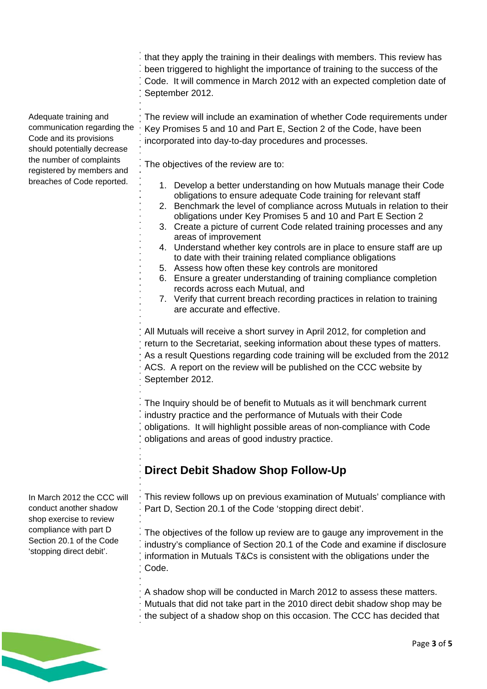<span id="page-2-0"></span>

|                                                                                                                                                                                                       | that they apply the training in their dealings with members. This review has<br>been triggered to highlight the importance of training to the success of the<br>Code. It will commence in March 2012 with an expected completion date of<br>September 2012.                                                                                                                                                        |
|-------------------------------------------------------------------------------------------------------------------------------------------------------------------------------------------------------|--------------------------------------------------------------------------------------------------------------------------------------------------------------------------------------------------------------------------------------------------------------------------------------------------------------------------------------------------------------------------------------------------------------------|
| Adequate training and<br>communication regarding the<br>Code and its provisions<br>should potentially decrease<br>the number of complaints<br>registered by members and<br>breaches of Code reported. | The review will include an examination of whether Code requirements under<br>Key Promises 5 and 10 and Part E, Section 2 of the Code, have been<br>incorporated into day-to-day procedures and processes.                                                                                                                                                                                                          |
|                                                                                                                                                                                                       | The objectives of the review are to:                                                                                                                                                                                                                                                                                                                                                                               |
|                                                                                                                                                                                                       | 1. Develop a better understanding on how Mutuals manage their Code<br>obligations to ensure adequate Code training for relevant staff<br>2. Benchmark the level of compliance across Mutuals in relation to their<br>obligations under Key Promises 5 and 10 and Part E Section 2<br>3. Create a picture of current Code related training processes and any<br>areas of improvement                                |
|                                                                                                                                                                                                       | 4. Understand whether key controls are in place to ensure staff are up<br>to date with their training related compliance obligations<br>5. Assess how often these key controls are monitored<br>6. Ensure a greater understanding of training compliance completion<br>records across each Mutual, and<br>7. Verify that current breach recording practices in relation to training<br>are accurate and effective. |
|                                                                                                                                                                                                       | All Mutuals will receive a short survey in April 2012, for completion and<br>return to the Secretariat, seeking information about these types of matters.<br>As a result Questions regarding code training will be excluded from the 2012<br>ACS. A report on the review will be published on the CCC website by<br>September 2012.                                                                                |
|                                                                                                                                                                                                       | The Inquiry should be of benefit to Mutuals as it will benchmark current<br>industry practice and the performance of Mutuals with their Code<br>obligations. It will highlight possible areas of non-compliance with Code<br>obligations and areas of good industry practice.                                                                                                                                      |
|                                                                                                                                                                                                       | <b>Direct Debit Shadow Shop Follow-Up</b>                                                                                                                                                                                                                                                                                                                                                                          |
| In March 2012 the CCC will<br>conduct another shadow<br>shop exercise to review<br>compliance with part D<br>Section 20.1 of the Code<br>'stopping direct debit'.                                     | This review follows up on previous examination of Mutuals' compliance with<br>Part D, Section 20.1 of the Code 'stopping direct debit'.                                                                                                                                                                                                                                                                            |
|                                                                                                                                                                                                       | The objectives of the follow up review are to gauge any improvement in the<br>industry's compliance of Section 20.1 of the Code and examine if disclosure<br>information in Mutuals T&Cs is consistent with the obligations under the<br>Code.                                                                                                                                                                     |
|                                                                                                                                                                                                       | A shadow shop will be conducted in March 2012 to assess these matters.<br>Mutuals that did not take part in the 2010 direct debit shadow shop may be                                                                                                                                                                                                                                                               |

the subject of a shadow shop on this occasion. The CCC has decided that

#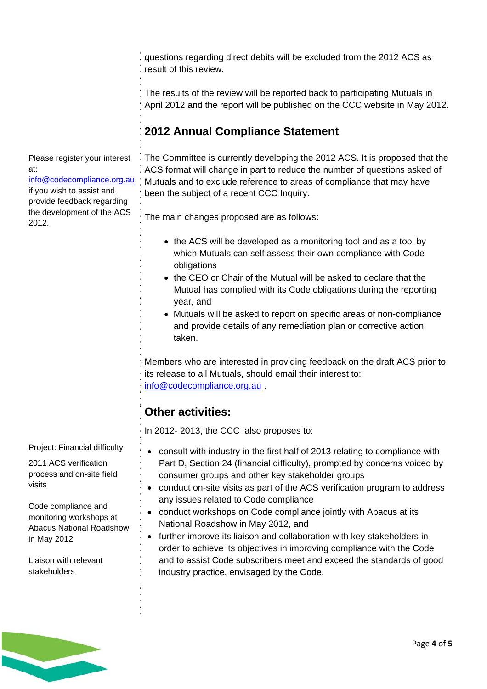<span id="page-3-0"></span>questions regarding direct debits will be excluded from the 2012 ACS as result of this review.

The results of the review will be reported back to participating Mutuals in April 2012 and the report will be published on the CCC website in May 2012.

# **2012 Annual Compliance Statement**

Please register your interest at: [info@codecompliance.org.au](mailto:info@codecompliance.org.au) if you wish to assist and provide feedback regarding the development of the ACS 2012.

The Committee is currently developing the 2012 ACS. It is proposed that the ACS format will change in part to reduce the number of questions asked of Mutuals and to exclude reference to areas of compliance that may have been the subject of a recent CCC Inquiry.

The main changes proposed are as follows:

- the ACS will be developed as a monitoring tool and as a tool by which Mutuals can self assess their own compliance with Code obligations
- the CEO or Chair of the Mutual will be asked to declare that the Mutual has complied with its Code obligations during the reporting year, and
- Mutuals will be asked to report on specific areas of non-compliance and provide details of any remediation plan or corrective action taken.

Members who are interested in providing feedback on the draft ACS prior to its release to all Mutuals, should email their interest to:

[info@codecompliance.org.au](mailto:info@codecompliance.org.au) .

# **Other activities:**

In 2012- 2013, the CCC also proposes to:

- consult with industry in the first half of 2013 relating to compliance with Part D, Section 24 (financial difficulty), prompted by concerns voiced by consumer groups and other key stakeholder groups
- conduct on-site visits as part of the ACS verification program to address any issues related to Code compliance
- conduct workshops on Code compliance jointly with Abacus at its National Roadshow in May 2012, and
- further improve its liaison and collaboration with key stakeholders in order to achieve its objectives in improving compliance with the Code and to assist Code subscribers meet and exceed the standards of good industry practice, envisaged by the Code.

Project: Financial difficulty

2011 ACS verification process and on-site field visits

Code compliance and monitoring workshops at Abacus National Roadshow in May 2012

Liaison with relevant stakeholders